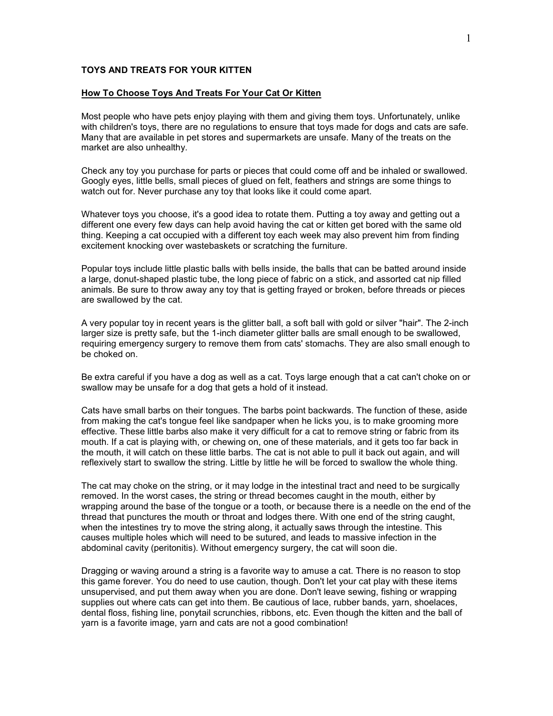## **TOYS AND TREATS FOR YOUR KITTEN**

## **How To Choose Toys And Treats For Your Cat Or Kitten**

Most people who have pets enjoy playing with them and giving them toys. Unfortunately, unlike with children's toys, there are no regulations to ensure that toys made for dogs and cats are safe. Many that are available in pet stores and supermarkets are unsafe. Many of the treats on the market are also unhealthy.

Check any toy you purchase for parts or pieces that could come off and be inhaled or swallowed. Googly eyes, little bells, small pieces of glued on felt, feathers and strings are some things to watch out for. Never purchase any toy that looks like it could come apart.

Whatever toys you choose, it's a good idea to rotate them. Putting a toy away and getting out a different one every few days can help avoid having the cat or kitten get bored with the same old thing. Keeping a cat occupied with a different toy each week may also prevent him from finding excitement knocking over wastebaskets or scratching the furniture.

Popular toys include little plastic balls with bells inside, the balls that can be batted around inside a large, donut-shaped plastic tube, the long piece of fabric on a stick, and assorted cat nip filled animals. Be sure to throw away any toy that is getting frayed or broken, before threads or pieces are swallowed by the cat.

A very popular toy in recent years is the glitter ball, a soft ball with gold or silver "hair". The 2-inch larger size is pretty safe, but the 1-inch diameter glitter balls are small enough to be swallowed, requiring emergency surgery to remove them from cats' stomachs. They are also small enough to be choked on.

Be extra careful if you have a dog as well as a cat. Toys large enough that a cat can't choke on or swallow may be unsafe for a dog that gets a hold of it instead.

Cats have small barbs on their tongues. The barbs point backwards. The function of these, aside from making the cat's tongue feel like sandpaper when he licks you, is to make grooming more effective. These little barbs also make it very difficult for a cat to remove string or fabric from its mouth. If a cat is playing with, or chewing on, one of these materials, and it gets too far back in the mouth, it will catch on these little barbs. The cat is not able to pull it back out again, and will reflexively start to swallow the string. Little by little he will be forced to swallow the whole thing.

The cat may choke on the string, or it may lodge in the intestinal tract and need to be surgically removed. In the worst cases, the string or thread becomes caught in the mouth, either by wrapping around the base of the tongue or a tooth, or because there is a needle on the end of the thread that punctures the mouth or throat and lodges there. With one end of the string caught, when the intestines try to move the string along, it actually saws through the intestine. This causes multiple holes which will need to be sutured, and leads to massive infection in the abdominal cavity (peritonitis). Without emergency surgery, the cat will soon die.

Dragging or waving around a string is a favorite way to amuse a cat. There is no reason to stop this game forever. You do need to use caution, though. Don't let your cat play with these items unsupervised, and put them away when you are done. Don't leave sewing, fishing or wrapping supplies out where cats can get into them. Be cautious of lace, rubber bands, yarn, shoelaces, dental floss, fishing line, ponytail scrunchies, ribbons, etc. Even though the kitten and the ball of yarn is a favorite image, yarn and cats are not a good combination!